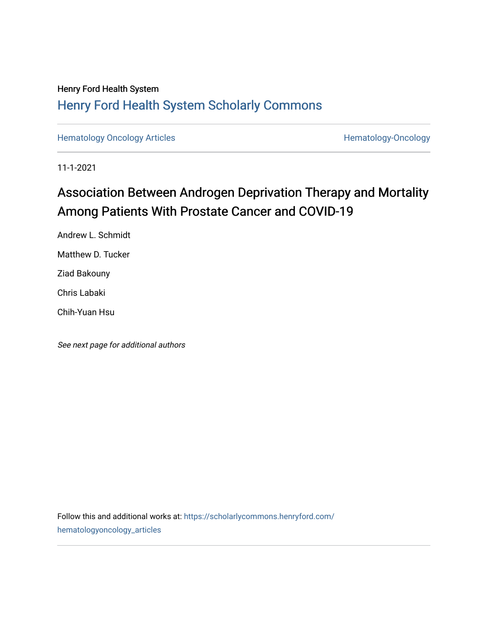## Henry Ford Health System [Henry Ford Health System Scholarly Commons](https://scholarlycommons.henryford.com/)

[Hematology Oncology Articles](https://scholarlycommons.henryford.com/hematologyoncology_articles) **Hematology-Oncology** 

11-1-2021

# Association Between Androgen Deprivation Therapy and Mortality Among Patients With Prostate Cancer and COVID-19

Andrew L. Schmidt Matthew D. Tucker Ziad Bakouny Chris Labaki Chih-Yuan Hsu

See next page for additional authors

Follow this and additional works at: [https://scholarlycommons.henryford.com/](https://scholarlycommons.henryford.com/hematologyoncology_articles?utm_source=scholarlycommons.henryford.com%2Fhematologyoncology_articles%2F213&utm_medium=PDF&utm_campaign=PDFCoverPages) [hematologyoncology\\_articles](https://scholarlycommons.henryford.com/hematologyoncology_articles?utm_source=scholarlycommons.henryford.com%2Fhematologyoncology_articles%2F213&utm_medium=PDF&utm_campaign=PDFCoverPages)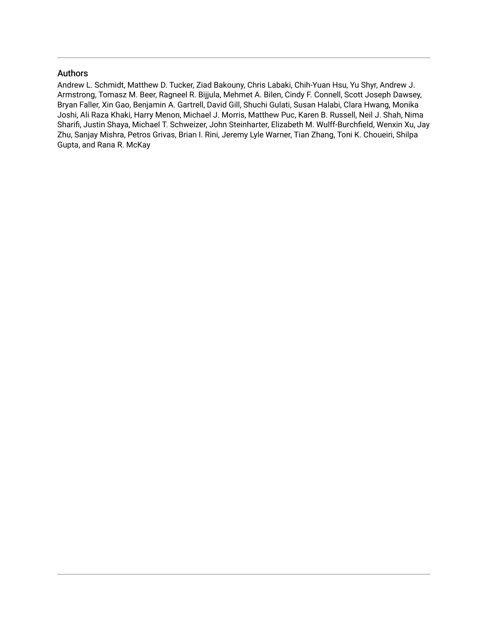### Authors

Andrew L. Schmidt, Matthew D. Tucker, Ziad Bakouny, Chris Labaki, Chih-Yuan Hsu, Yu Shyr, Andrew J. Armstrong, Tomasz M. Beer, Ragneel R. Bijjula, Mehmet A. Bilen, Cindy F. Connell, Scott Joseph Dawsey, Bryan Faller, Xin Gao, Benjamin A. Gartrell, David Gill, Shuchi Gulati, Susan Halabi, Clara Hwang, Monika Joshi, Ali Raza Khaki, Harry Menon, Michael J. Morris, Matthew Puc, Karen B. Russell, Neil J. Shah, Nima Sharifi, Justin Shaya, Michael T. Schweizer, John Steinharter, Elizabeth M. Wulff-Burchfield, Wenxin Xu, Jay Zhu, Sanjay Mishra, Petros Grivas, Brian I. Rini, Jeremy Lyle Warner, Tian Zhang, Toni K. Choueiri, Shilpa Gupta, and Rana R. McKay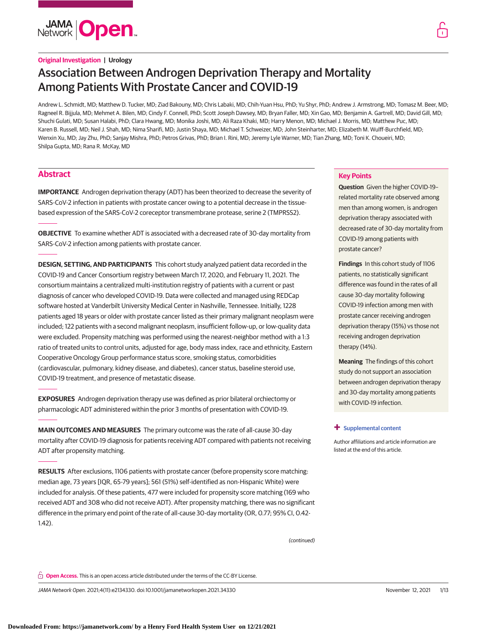

# Association Between Androgen Deprivation Therapy and Mortality Among Patients With Prostate Cancer and COVID-19

Andrew L. Schmidt, MD; Matthew D. Tucker, MD; Ziad Bakouny, MD; Chris Labaki, MD; Chih-Yuan Hsu, PhD; Yu Shyr, PhD; Andrew J. Armstrong, MD; Tomasz M. Beer, MD; Ragneel R. Bijjula, MD; Mehmet A. Bilen, MD; Cindy F. Connell, PhD; Scott Joseph Dawsey, MD; Bryan Faller, MD; Xin Gao, MD; Benjamin A. Gartrell, MD; David Gill, MD; Shuchi Gulati, MD; Susan Halabi, PhD; Clara Hwang, MD; Monika Joshi, MD; Ali Raza Khaki, MD; Harry Menon, MD; Michael J. Morris, MD; Matthew Puc, MD; Karen B. Russell, MD; Neil J. Shah, MD; Nima Sharifi, MD; Justin Shaya, MD; Michael T. Schweizer, MD; John Steinharter, MD; Elizabeth M. Wulff-Burchfield, MD; Wenxin Xu, MD; Jay Zhu, PhD; Sanjay Mishra, PhD; Petros Grivas, PhD; Brian I. Rini, MD; Jeremy Lyle Warner, MD; Tian Zhang, MD; Toni K. Choueiri, MD; Shilpa Gupta, MD; Rana R. McKay, MD

### **Abstract**

**IMPORTANCE** Androgen deprivation therapy (ADT) has been theorized to decrease the severity of SARS-CoV-2 infection in patients with prostate cancer owing to a potential decrease in the tissuebased expression of the SARS-CoV-2 coreceptor transmembrane protease, serine 2 (TMPRSS2).

**OBJECTIVE** To examine whether ADT is associated with a decreased rate of 30-day mortality from SARS-CoV-2 infection among patients with prostate cancer.

**DESIGN, SETTING, AND PARTICIPANTS** This cohort study analyzed patient data recorded in the COVID-19 and Cancer Consortium registry between March 17, 2020, and February 11, 2021. The consortium maintains a centralized multi-institution registry of patients with a current or past diagnosis of cancer who developed COVID-19. Data were collected and managed using REDCap software hosted at Vanderbilt University Medical Center in Nashville, Tennessee. Initially, 1228 patients aged 18 years or older with prostate cancer listed as their primary malignant neoplasm were included; 122 patients with a second malignant neoplasm, insufficient follow-up, or low-quality data were excluded. Propensity matching was performed using the nearest-neighbor method with a 1:3 ratio of treated units to control units, adjusted for age, body mass index, race and ethnicity, Eastern Cooperative Oncology Group performance status score, smoking status, comorbidities (cardiovascular, pulmonary, kidney disease, and diabetes), cancer status, baseline steroid use, COVID-19 treatment, and presence of metastatic disease.

**EXPOSURES** Androgen deprivation therapy use was defined as prior bilateral orchiectomy or pharmacologic ADT administered within the prior 3 months of presentation with COVID-19.

**MAIN OUTCOMES AND MEASURES** The primary outcome was the rate of all-cause 30-day mortality after COVID-19 diagnosis for patients receiving ADT compared with patients not receiving ADT after propensity matching.

**RESULTS** After exclusions, 1106 patients with prostate cancer (before propensity score matching: median age, 73 years [IQR, 65-79 years]; 561 (51%) self-identified as non-Hispanic White) were included for analysis. Of these patients, 477 were included for propensity score matching (169 who received ADT and 308 who did not receive ADT). After propensity matching, there was no significant difference in the primary end point of the rate of all-cause 30-day mortality (OR, 0.77; 95% CI, 0.42- 1.42).

(continued)

#### **Key Points**

**Question** Given the higher COVID-19– related mortality rate observed among men than among women, is androgen deprivation therapy associated with decreased rate of 30-day mortality from COVID-19 among patients with prostate cancer?

**Findings** In this cohort study of 1106 patients, no statistically significant difference was found in the rates of all cause 30-day mortality following COVID-19 infection among men with prostate cancer receiving androgen deprivation therapy (15%) vs those not receiving androgen deprivation therapy (14%).

**Meaning** The findings of this cohort study do not support an association between androgen deprivation therapy and 30-day mortality among patients with COVID-19 infection.

#### **+ [Supplemental content](https://jama.jamanetwork.com/article.aspx?doi=10.1001/jamanetworkopen.2021.34330&utm_campaign=articlePDF%26utm_medium=articlePDFlink%26utm_source=articlePDF%26utm_content=jamanetworkopen.2021.34330)**

Author affiliations and article information are listed at the end of this article.

**Open Access.** This is an open access article distributed under the terms of the CC-BY License.

JAMA Network Open. 2021;4(11):e2134330. doi:10.1001/jamanetworkopen.2021.34330 (Reprinted) November 12, 2021 1/13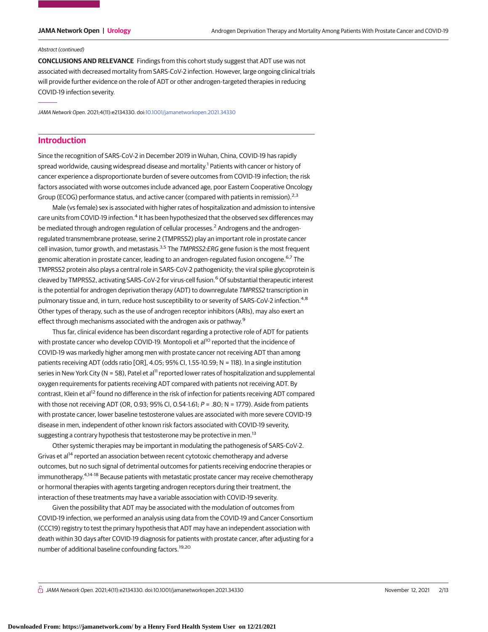#### Abstract (continued)

**CONCLUSIONS AND RELEVANCE** Findings from this cohort study suggest that ADT use was not associated with decreased mortality from SARS-CoV-2 infection. However, large ongoing clinical trials will provide further evidence on the role of ADT or other androgen-targeted therapies in reducing COVID-19 infection severity.

JAMA Network Open. 2021;4(11):e2134330. doi[:10.1001/jamanetworkopen.2021.34330](https://jama.jamanetwork.com/article.aspx?doi=10.1001/jamanetworkopen.2021.34330&utm_campaign=articlePDF%26utm_medium=articlePDFlink%26utm_source=articlePDF%26utm_content=jamanetworkopen.2021.34330)

### **Introduction**

Since the recognition of SARS-CoV-2 in December 2019 in Wuhan, China, COVID-19 has rapidly spread worldwide, causing widespread disease and mortality.<sup>1</sup> Patients with cancer or history of cancer experience a disproportionate burden of severe outcomes from COVID-19 infection; the risk factors associated with worse outcomes include advanced age, poor Eastern Cooperative Oncology Group (ECOG) performance status, and active cancer (compared with patients in remission).<sup>2,3</sup>

Male (vs female) sex is associated with higher rates of hospitalization and admission to intensive care units from COVID-19 infection.<sup>4</sup> It has been hypothesized that the observed sex differences may be mediated through androgen regulation of cellular processes.<sup>2</sup> Androgens and the androgenregulated transmembrane protease, serine 2 (TMPRSS2) play an important role in prostate cancer cell invasion, tumor growth, and metastasis.<sup>3,5</sup> The *TMPRSS2:ERG* gene fusion is the most frequent genomic alteration in prostate cancer, leading to an androgen-regulated fusion oncogene.<sup>6,7</sup> The TMPRSS2 protein also plays a central role in SARS-CoV-2 pathogenicity; the viral spike glycoprotein is cleaved by TMPRSS2, activating SARS-CoV-2 for virus-cell fusion.<sup>6</sup> Of substantial therapeutic interest is the potential for androgen deprivation therapy (ADT) to downregulate TMPRSS2 transcription in pulmonary tissue and, in turn, reduce host susceptibility to or severity of SARS-CoV-2 infection.<sup>4,8</sup> Other types of therapy, such as the use of androgen receptor inhibitors (ARIs), may also exert an effect through mechanisms associated with the androgen axis or pathway.<sup>9</sup>

Thus far, clinical evidence has been discordant regarding a protective role of ADT for patients with prostate cancer who develop COVID-19. Montopoli et al<sup>10</sup> reported that the incidence of COVID-19 was markedly higher among men with prostate cancer not receiving ADT than among patients receiving ADT (odds ratio [OR], 4.05; 95% CI, 1.55-10.59; N = 118). In a single institution series in New York City (N = 58), Patel et al<sup>11</sup> reported lower rates of hospitalization and supplemental oxygen requirements for patients receiving ADT compared with patients not receiving ADT. By contrast, Klein et al<sup>12</sup> found no difference in the risk of infection for patients receiving ADT compared with those not receiving ADT (OR, 0.93; 95% CI, 0.54-1.61;  $P = .80$ ; N = 1779). Aside from patients with prostate cancer, lower baseline testosterone values are associated with more severe COVID-19 disease in men, independent of other known risk factors associated with COVID-19 severity, suggesting a contrary hypothesis that testosterone may be protective in men.<sup>13</sup>

Other systemic therapies may be important in modulating the pathogenesis of SARS-CoV-2. Grivas et al<sup>14</sup> reported an association between recent cytotoxic chemotherapy and adverse outcomes, but no such signal of detrimental outcomes for patients receiving endocrine therapies or immunotherapy.<sup>4,14-18</sup> Because patients with metastatic prostate cancer may receive chemotherapy or hormonal therapies with agents targeting androgen receptors during their treatment, the interaction of these treatments may have a variable association with COVID-19 severity.

Given the possibility that ADT may be associated with the modulation of outcomes from COVID-19 infection, we performed an analysis using data from the COVID-19 and Cancer Consortium (CCC19) registry to test the primary hypothesis that ADT may have an independent association with death within 30 days after COVID-19 diagnosis for patients with prostate cancer, after adjusting for a number of additional baseline confounding factors.19,20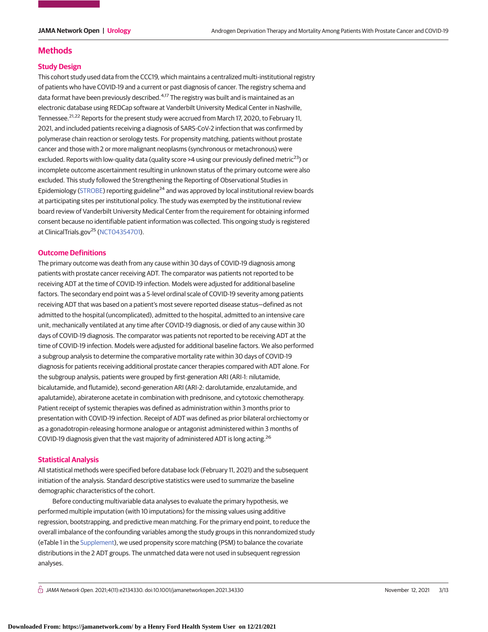### **Methods**

#### **Study Design**

This cohort study used data from the CCC19, which maintains a centralized multi-institutional registry of patients who have COVID-19 and a current or past diagnosis of cancer. The registry schema and data format have been previously described.<sup>4,17</sup> The registry was built and is maintained as an electronic database using REDCap software at Vanderbilt University Medical Center in Nashville, Tennessee.<sup>21,22</sup> Reports for the present study were accrued from March 17, 2020, to February 11, 2021, and included patients receiving a diagnosis of SARS-CoV-2 infection that was confirmed by polymerase chain reaction or serology tests. For propensity matching, patients without prostate cancer and those with 2 or more malignant neoplasms (synchronous or metachronous) were excluded. Reports with low-quality data (quality score  $>4$  using our previously defined metric<sup>23</sup>) or incomplete outcome ascertainment resulting in unknown status of the primary outcome were also excluded. This study followed the Strengthening the Reporting of Observational Studies in Epidemiology [\(STROBE\)](https://www.equator-network.org/reporting-guidelines/strobe/) reporting guideline<sup>24</sup> and was approved by local institutional review boards at participating sites per institutional policy. The study was exempted by the institutional review board review of Vanderbilt University Medical Center from the requirement for obtaining informed consent because no identifiable patient information was collected. This ongoing study is registered at ClinicalTrials.gov<sup>25</sup> [\(NCT04354701\)](https://clinicaltrials.gov/ct2/show/NCT04354701).

### **Outcome Definitions**

The primary outcome was death from any cause within 30 days of COVID-19 diagnosis among patients with prostate cancer receiving ADT. The comparator was patients not reported to be receiving ADT at the time of COVID-19 infection. Models were adjusted for additional baseline factors. The secondary end point was a 5-level ordinal scale of COVID-19 severity among patients receiving ADT that was based on a patient's most severe reported disease status—defined as not admitted to the hospital (uncomplicated), admitted to the hospital, admitted to an intensive care unit, mechanically ventilated at any time after COVID-19 diagnosis, or died of any cause within 30 days of COVID-19 diagnosis. The comparator was patients not reported to be receiving ADT at the time of COVID-19 infection. Models were adjusted for additional baseline factors. We also performed a subgroup analysis to determine the comparative mortality rate within 30 days of COVID-19 diagnosis for patients receiving additional prostate cancer therapies compared with ADT alone. For the subgroup analysis, patients were grouped by first-generation ARI (ARI-1: nilutamide, bicalutamide, and flutamide), second-generation ARI (ARI-2: darolutamide, enzalutamide, and apalutamide), abiraterone acetate in combination with prednisone, and cytotoxic chemotherapy. Patient receipt of systemic therapies was defined as administration within 3 months prior to presentation with COVID-19 infection. Receipt of ADT was defined as prior bilateral orchiectomy or as a gonadotropin-releasing hormone analogue or antagonist administered within 3 months of COVID-19 diagnosis given that the vast majority of administered ADT is long acting.<sup>26</sup>

### **Statistical Analysis**

All statistical methods were specified before database lock (February 11, 2021) and the subsequent initiation of the analysis. Standard descriptive statistics were used to summarize the baseline demographic characteristics of the cohort.

Before conducting multivariable data analyses to evaluate the primary hypothesis, we performed multiple imputation (with 10 imputations) for the missing values using additive regression, bootstrapping, and predictive mean matching. For the primary end point, to reduce the overall imbalance of the confounding variables among the study groups in this nonrandomized study (eTable 1 in the [Supplement\)](https://jama.jamanetwork.com/article.aspx?doi=10.1001/jamanetworkopen.2021.34330&utm_campaign=articlePDF%26utm_medium=articlePDFlink%26utm_source=articlePDF%26utm_content=jamanetworkopen.2021.34330), we used propensity score matching (PSM) to balance the covariate distributions in the 2 ADT groups. The unmatched data were not used in subsequent regression analyses.

 $\bigcap$  JAMA Network Open. 2021;4(11):e2134330. doi:10.1001/jamanetworkopen.2021.34330 (Reprinted) November 12, 2021 3/13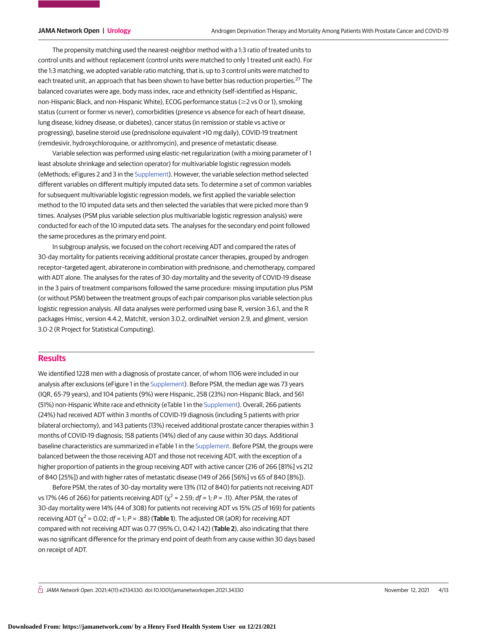The propensity matching used the nearest-neighbor method with a 1:3 ratio of treated units to control units and without replacement (control units were matched to only 1 treated unit each). For the 1:3 matching, we adopted variable ratio matching, that is, up to 3 control units were matched to each treated unit, an approach that has been shown to have better bias reduction properties.<sup>27</sup> The balanced covariates were age, body mass index, race and ethnicity (self-identified as Hispanic, non-Hispanic Black, and non-Hispanic White), ECOG performance status ( $\geq$ 2 vs 0 or 1), smoking status (current or former vs never), comorbidities (presence vs absence for each of heart disease, lung disease, kidney disease, or diabetes), cancer status (in remission or stable vs active or progressing), baseline steroid use (prednisolone equivalent >10 mg daily), COVID-19 treatment (remdesivir, hydroxychloroquine, or azithromycin), and presence of metastatic disease.

Variable selection was performed using elastic-net regularization (with a mixing parameter of 1 least absolute shrinkage and selection operator) for multivariable logistic regression models (eMethods; eFigures 2 and 3 in the [Supplement\)](https://jama.jamanetwork.com/article.aspx?doi=10.1001/jamanetworkopen.2021.34330&utm_campaign=articlePDF%26utm_medium=articlePDFlink%26utm_source=articlePDF%26utm_content=jamanetworkopen.2021.34330). However, the variable selection method selected different variables on different multiply imputed data sets. To determine a set of common variables for subsequent multivariable logistic regression models, we first applied the variable selection method to the 10 imputed data sets and then selected the variables that were picked more than 9 times. Analyses (PSM plus variable selection plus multivariable logistic regression analysis) were conducted for each of the 10 imputed data sets. The analyses for the secondary end point followed the same procedures as the primary end point.

In subgroup analysis, we focused on the cohort receiving ADT and compared the rates of 30-day mortality for patients receiving additional prostate cancer therapies, grouped by androgen receptor–targeted agent, abiraterone in combination with prednisone, and chemotherapy, compared with ADT alone. The analyses for the rates of 30-day mortality and the severity of COVID-19 disease in the 3 pairs of treatment comparisons followed the same procedure: missing imputation plus PSM (or without PSM) between the treatment groups of each pair comparison plus variable selection plus logistic regression analysis. All data analyses were performed using base R, version 3.6.1, and the R packages Hmisc, version 4.4.2, MatchIt, version 3.0.2, ordinalNet version 2.9, and glment, version 3.0-2 (R Project for Statistical Computing).

### **Results**

We identified 1228 men with a diagnosis of prostate cancer, of whom 1106 were included in our analysis after exclusions (eFigure 1 in the [Supplement\)](https://jama.jamanetwork.com/article.aspx?doi=10.1001/jamanetworkopen.2021.34330&utm_campaign=articlePDF%26utm_medium=articlePDFlink%26utm_source=articlePDF%26utm_content=jamanetworkopen.2021.34330). Before PSM, the median age was 73 years (IQR, 65-79 years), and 104 patients (9%) were Hispanic, 258 (23%) non-Hispanic Black, and 561 (51%) non-Hispanic White race and ethnicity (eTable 1 in the [Supplement\)](https://jama.jamanetwork.com/article.aspx?doi=10.1001/jamanetworkopen.2021.34330&utm_campaign=articlePDF%26utm_medium=articlePDFlink%26utm_source=articlePDF%26utm_content=jamanetworkopen.2021.34330). Overall, 266 patients (24%) had received ADT within 3 months of COVID-19 diagnosis (including 5 patients with prior bilateral orchiectomy), and 143 patients (13%) received additional prostate cancer therapies within 3 months of COVID-19 diagnosis; 158 patients (14%) died of any cause within 30 days. Additional baseline characteristics are summarized in eTable 1 in the [Supplement.](https://jama.jamanetwork.com/article.aspx?doi=10.1001/jamanetworkopen.2021.34330&utm_campaign=articlePDF%26utm_medium=articlePDFlink%26utm_source=articlePDF%26utm_content=jamanetworkopen.2021.34330) Before PSM, the groups were balanced between the those receiving ADT and those not receiving ADT, with the exception of a higher proportion of patients in the group receiving ADT with active cancer (216 of 266 [81%] vs 212 of 840 [25%]) and with higher rates of metastatic disease (149 of 266 [56%] vs 65 of 840 [8%]).

Before PSM, the rates of 30-day mortality were 13% (112 of 840) for patients not receiving ADT vs 17% (46 of 266) for patients receiving ADT ( $\chi^2$  = 2.59;  $df$  = 1; P = .11). After PSM, the rates of 30-day mortality were 14% (44 of 308) for patients not receiving ADT vs 15% (25 of 169) for patients receiving ADT ( $\chi^2$  = 0.02; df = 1; P = .88) (**Table 1**). The adjusted OR (aOR) for receiving ADT compared with not receiving ADT was 0.77 (95% CI, 0.42-1.42) (**Table 2**), also indicating that there was no significant difference for the primary end point of death from any cause within 30 days based on receipt of ADT.

 $\bigcap$  JAMA Network Open. 2021;4(11):e2134330. doi:10.1001/jamanetworkopen.2021.34330 Movember 12, 2021 4/13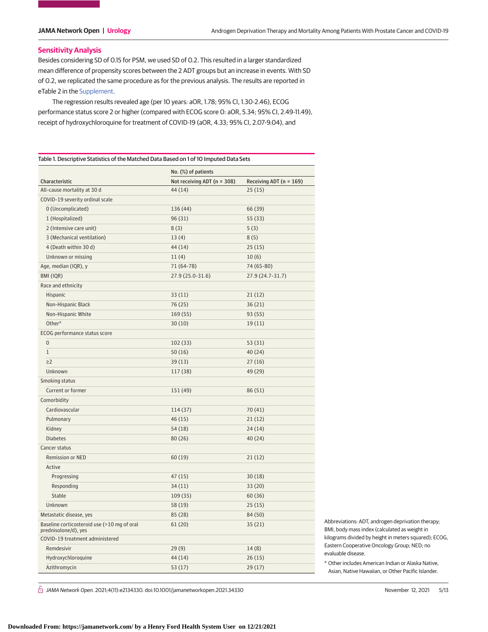### **Sensitivity Analysis**

Besides considering SD of 0.15 for PSM, we used SD of 0.2. This resulted in a larger standardized mean difference of propensity scores between the 2 ADT groups but an increase in events. With SD of 0.2, we replicated the same procedure as for the previous analysis. The results are reported in eTable 2 in the [Supplement.](https://jama.jamanetwork.com/article.aspx?doi=10.1001/jamanetworkopen.2021.34330&utm_campaign=articlePDF%26utm_medium=articlePDFlink%26utm_source=articlePDF%26utm_content=jamanetworkopen.2021.34330)

The regression results revealed age (per 10 years: aOR, 1.78; 95% CI, 1.30-2.46), ECOG performance status score 2 or higher (compared with ECOG score 0: aOR, 5.34; 95% CI, 2.49-11.49), receipt of hydroxychloroquine for treatment of COVID-19 (aOR, 4.33; 95% CI, 2.07-9.04), and

|                                                                     | No. (%) of patients         |                         |  |
|---------------------------------------------------------------------|-----------------------------|-------------------------|--|
| Characteristic                                                      | Not receiving ADT (n = 308) | Receiving ADT (n = 169) |  |
| All-cause mortality at 30 d                                         | 44 (14)                     | 25(15)                  |  |
| COVID-19 severity ordinal scale                                     |                             |                         |  |
| 0 (Uncomplicated)                                                   | 136 (44)                    | 66 (39)                 |  |
| 1 (Hospitalized)                                                    | 96(31)                      | 55 (33)                 |  |
| 2 (Intensive care unit)                                             | 8(3)                        | 5(3)                    |  |
| 3 (Mechanical ventilation)                                          | 13(4)                       | 8(5)                    |  |
| 4 (Death within 30 d)                                               | 44 (14)                     | 25(15)                  |  |
| Unknown or missing                                                  | 11(4)                       | 10(6)                   |  |
| Age, median (IQR), y                                                | 71 (64-78)                  | 74 (65-80)              |  |
| BMI (IQR)                                                           | 27.9 (25.0-31.6)            | 27.9 (24.7-31.7)        |  |
| Race and ethnicity                                                  |                             |                         |  |
| Hispanic                                                            | 33(11)                      | 21(12)                  |  |
| Non-Hispanic Black                                                  | 76 (25)                     | 36(21)                  |  |
| Non-Hispanic White                                                  | 169(55)                     | 93(55)                  |  |
| Other <sup>a</sup>                                                  | 30(10)                      | 19(11)                  |  |
| ECOG performance status score                                       |                             |                         |  |
| $\overline{0}$                                                      | 102(33)                     | 53 (31)                 |  |
| $\mathbf{1}$                                                        | 50(16)                      | 40(24)                  |  |
| $\geq$ 2                                                            | 39(13)                      | 27(16)                  |  |
| Unknown                                                             | 117 (38)                    | 49 (29)                 |  |
| Smoking status                                                      |                             |                         |  |
| Current or former                                                   | 151 (49)                    | 86 (51)                 |  |
| Comorbidity                                                         |                             |                         |  |
| Cardiovascular                                                      | 114 (37)                    | 70 (41)                 |  |
| Pulmonary                                                           | 46(15)                      | 21(12)                  |  |
| Kidney                                                              | 54 (18)                     | 24(14)                  |  |
| <b>Diabetes</b>                                                     | 80 (26)                     | 40(24)                  |  |
| Cancer status                                                       |                             |                         |  |
| <b>Remission or NED</b>                                             | 60(19)                      | 21(12)                  |  |
| Active                                                              |                             |                         |  |
| Progressing                                                         | 47(15)                      | 30(18)                  |  |
| Responding                                                          | 34(11)                      | 33(20)                  |  |
| Stable                                                              | 109(35)                     | 60(36)                  |  |
| Unknown                                                             | 58 (19)                     | 25(15)                  |  |
| Metastatic disease, yes                                             | 85 (28)                     | 84 (50)                 |  |
| Baseline corticosteroid use (>10 mg of oral<br>prednisolone/d), yes | 61 (20)                     | 35(21)                  |  |
| COVID-19 treatment administered                                     |                             |                         |  |
| Remdesivir                                                          | 29(9)                       | 14(8)                   |  |
| Hydroxychloroquine                                                  | 44 (14)                     | 26(15)                  |  |
| Azithromycin                                                        | 53(17)                      | 29(17)                  |  |

Abbreviations: ADT, androgen deprivation therapy; BMI, body mass index (calculated as weight in kilograms divided by height in meters squared); ECOG, Eastern Cooperative Oncology Group; NED; no evaluable disease.

<sup>a</sup> Other includes American Indian or Alaska Native, Asian, Native Hawaiian, or Other Pacific Islander.

 $\bigcap$  JAMA Network Open. 2021;4(11):e2134330. doi:10.1001/jamanetworkopen.2021.34330 (Reprinted) November 12, 2021 5/13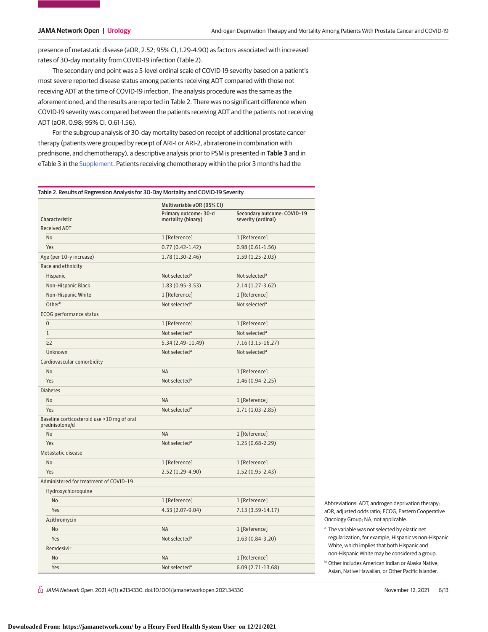presence of metastatic disease (aOR, 2.52; 95% CI, 1.29-4.90) as factors associated with increased rates of 30-day mortality from COVID-19 infection (Table 2).

The secondary end point was a 5-level ordinal scale of COVID-19 severity based on a patient's most severe reported disease status among patients receiving ADT compared with those not receiving ADT at the time of COVID-19 infection. The analysis procedure was the same as the aforementioned, and the results are reported in Table 2. There was no significant difference when COVID-19 severity was compared between the patients receiving ADT and the patients not receiving ADT (aOR, 0.98; 95% CI, 0.61-1.56).

For the subgroup analysis of 30-day mortality based on receipt of additional prostate cancer therapy (patients were grouped by receipt of ARI-1 or ARI-2, abiraterone in combination with prednisone, and chemotherapy), a descriptive analysis prior to PSM is presented in **Table 3** and in eTable 3 in the [Supplement.](https://jama.jamanetwork.com/article.aspx?doi=10.1001/jamanetworkopen.2021.34330&utm_campaign=articlePDF%26utm_medium=articlePDFlink%26utm_source=articlePDF%26utm_content=jamanetworkopen.2021.34330) Patients receiving chemotherapy within the prior 3 months had the

|                                                              | Multivariable aOR (95% CI)                  |                                                   |  |
|--------------------------------------------------------------|---------------------------------------------|---------------------------------------------------|--|
| Characteristic                                               | Primary outcome: 30-d<br>mortality (binary) | Secondary outcome: COVID-19<br>severity (ordinal) |  |
| <b>Received ADT</b>                                          |                                             |                                                   |  |
| No                                                           | 1 [Reference]                               | 1 [Reference]                                     |  |
| Yes                                                          | $0.77(0.42 - 1.42)$                         | $0.98(0.61 - 1.56)$                               |  |
| Age (per 10-y increase)                                      | 1.78 (1.30-2.46)                            | $1.59(1.25-2.03)$                                 |  |
| Race and ethnicity                                           |                                             |                                                   |  |
| Hispanic                                                     | Not selected <sup>a</sup>                   | Not selected <sup>a</sup>                         |  |
| Non-Hispanic Black                                           | $1.83(0.95-3.53)$                           | $2.14(1.27-3.62)$                                 |  |
| Non-Hispanic White                                           | 1 [Reference]                               | 1 [Reference]                                     |  |
| Otherb                                                       | Not selected <sup>a</sup>                   | Not selected <sup>a</sup>                         |  |
| ECOG performance status                                      |                                             |                                                   |  |
| $\overline{0}$                                               | 1 [Reference]                               | 1 [Reference]                                     |  |
| $\mathbf{1}$                                                 | Not selected <sup>a</sup>                   | Not selected <sup>a</sup>                         |  |
| $\geq$ 2                                                     | 5.34 (2.49-11.49)                           | 7.16 (3.15-16.27)                                 |  |
| Unknown                                                      | Not selected <sup>a</sup>                   | Not selected <sup>a</sup>                         |  |
| Cardiovascular comorbidity                                   |                                             |                                                   |  |
| No                                                           | <b>NA</b>                                   | 1 [Reference]                                     |  |
| Yes                                                          | Not selected <sup>a</sup>                   | $1.46(0.94-2.25)$                                 |  |
| <b>Diabetes</b>                                              |                                             |                                                   |  |
| No                                                           | <b>NA</b>                                   | 1 [Reference]                                     |  |
| <b>Yes</b>                                                   | Not selected <sup>a</sup>                   | $1.71(1.03-2.85)$                                 |  |
| Baseline corticosteroid use >10 mg of oral<br>prednisolone/d |                                             |                                                   |  |
| No                                                           | <b>NA</b>                                   | 1 [Reference]                                     |  |
| Yes                                                          | Not selected <sup>a</sup>                   | $1.25(0.68-2.29)$                                 |  |
| Metastatic disease                                           |                                             |                                                   |  |
| No                                                           | 1 [Reference]                               | 1 [Reference]                                     |  |
| Yes                                                          | 2.52 (1.29-4.90)                            | $1.52(0.95 - 2.43)$                               |  |
| Administered for treatment of COVID-19                       |                                             |                                                   |  |
| Hydroxychloroquine                                           |                                             |                                                   |  |
| N <sub>0</sub>                                               | 1 [Reference]                               | 1 [Reference]                                     |  |
| Yes                                                          | 4.33 (2.07-9.04)                            | 7.13 (3.59-14.17)                                 |  |
| Azithromycin                                                 |                                             |                                                   |  |
| <b>No</b>                                                    | <b>NA</b>                                   | 1 [Reference]                                     |  |
| Yes                                                          | Not selected <sup>a</sup>                   | $1.63(0.84-3.20)$                                 |  |
| Remdesivir                                                   |                                             |                                                   |  |
| <b>No</b>                                                    | <b>NA</b>                                   | 1 [Reference]                                     |  |
| Yes                                                          | Not selected <sup>a</sup>                   | 6.09 (2.71-13.68)                                 |  |

Abbreviations: ADT, androgen deprivation therapy; aOR, adjusted odds ratio; ECOG, Eastern Cooperative Oncology Group; NA, not applicable.

- <sup>a</sup> The variable was not selected by elastic net regularization, for example, Hispanic vs non-Hispanic White, which implies that both Hispanic and non-Hispanic White may be considered a group.
- **b** Other includes American Indian or Alaska Native, Asian, Native Hawaiian, or Other Pacific Islander.

 $\bigcap$  JAMA Network Open. 2021;4(11):e2134330. doi:10.1001/jamanetworkopen.2021.34330 (Reprinted) November 12, 2021 6/13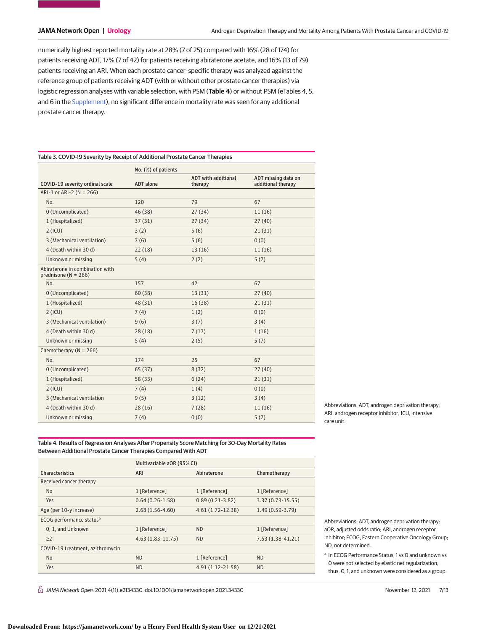numerically highest reported mortality rate at 28% (7 of 25) compared with 16% (28 of 174) for patients receiving ADT, 17% (7 of 42) for patients receiving abiraterone acetate, and 16% (13 of 79) patients receiving an ARI. When each prostate cancer–specific therapy was analyzed against the reference group of patients receiving ADT (with or without other prostate cancer therapies) via logistic regression analyses with variable selection, with PSM (**Table 4**) or without PSM (eTables 4, 5, and 6 in the [Supplement\)](https://jama.jamanetwork.com/article.aspx?doi=10.1001/jamanetworkopen.2021.34330&utm_campaign=articlePDF%26utm_medium=articlePDFlink%26utm_source=articlePDF%26utm_content=jamanetworkopen.2021.34330), no significant difference in mortality rate was seen for any additional prostate cancer therapy.

| Table 3. COVID-19 Severity by Receipt of Additional Prostate Cancer Therapies |                     |                                       |                                           |  |  |  |
|-------------------------------------------------------------------------------|---------------------|---------------------------------------|-------------------------------------------|--|--|--|
|                                                                               | No. (%) of patients |                                       |                                           |  |  |  |
| COVID-19 severity ordinal scale                                               | <b>ADT</b> alone    | <b>ADT</b> with additional<br>therapy | ADT missing data on<br>additional therapy |  |  |  |
| ARI-1 or ARI-2 ( $N = 266$ )                                                  |                     |                                       |                                           |  |  |  |
| No.                                                                           | 120                 | 79                                    | 67                                        |  |  |  |
| 0 (Uncomplicated)                                                             | 46 (38)             | 27(34)                                | 11(16)                                    |  |  |  |
| 1 (Hospitalized)                                                              | 37(31)              | 27(34)                                | 27(40)                                    |  |  |  |
| $2$ (ICU)                                                                     | 3(2)                | 5(6)                                  | 21(31)                                    |  |  |  |
| 3 (Mechanical ventilation)                                                    | 7(6)                | 5(6)                                  | 0(0)                                      |  |  |  |
| 4 (Death within 30 d)                                                         | 22(18)              | 13(16)                                | 11(16)                                    |  |  |  |
| Unknown or missing                                                            | 5(4)                | 2(2)                                  | 5(7)                                      |  |  |  |
| Abiraterone in combination with<br>prednisone ( $N = 266$ )                   |                     |                                       |                                           |  |  |  |
| No.                                                                           | 157                 | 42                                    | 67                                        |  |  |  |
| 0 (Uncomplicated)                                                             | 60(38)              | 13(31)                                | 27(40)                                    |  |  |  |
| 1 (Hospitalized)                                                              | 48 (31)             | 16(38)                                | 21(31)                                    |  |  |  |
| $2$ (ICU)                                                                     | 7(4)                | 1(2)                                  | 0(0)                                      |  |  |  |
| 3 (Mechanical ventilation)                                                    | 9(6)                | 3(7)                                  | 3(4)                                      |  |  |  |
| 4 (Death within 30 d)                                                         | 28(18)              | 7(17)                                 | 1(16)                                     |  |  |  |
| Unknown or missing                                                            | 5(4)                | 2(5)                                  | 5(7)                                      |  |  |  |
| Chemotherapy ( $N = 266$ )                                                    |                     |                                       |                                           |  |  |  |
| No.                                                                           | 174                 | 25                                    | 67                                        |  |  |  |
| 0 (Uncomplicated)                                                             | 65(37)              | 8(32)                                 | 27(40)                                    |  |  |  |
| 1 (Hospitalized)                                                              | 58 (33)             | 6(24)                                 | 21(31)                                    |  |  |  |
| $2$ (ICU)                                                                     | 7(4)                | 1(4)                                  | 0(0)                                      |  |  |  |
| 3 (Mechanical ventilation                                                     | 9(5)                | 3(12)                                 | 3(4)                                      |  |  |  |
| 4 (Death within 30 d)                                                         | 28(16)              | 7(28)                                 | 11(16)                                    |  |  |  |
| Unknown or missing                                                            | 7(4)                | 0(0)                                  | 5(7)                                      |  |  |  |

Abbreviations: ADT, androgen deprivation therapy; ARI, androgen receptor inhibitor; ICU, intensive care unit.

Table 4. Results of Regression Analyses After Propensity Score Matching for 30-Day Mortality Rates Between Additional Prostate Cancer Therapies Compared With ADT

|                                      |                         | Multivariable aOR (95% CI) |                      |                    |  |
|--------------------------------------|-------------------------|----------------------------|----------------------|--------------------|--|
| <b>Characteristics</b>               |                         | ARI                        | Abiraterone          | Chemotherapy       |  |
| Received cancer therapy              |                         |                            |                      |                    |  |
|                                      | <b>No</b>               | 1 [Reference]              | 1 [Reference]        | 1 [Reference]      |  |
|                                      | Yes                     | $0.64(0.26-1.58)$          | $0.89(0.21-3.82)$    | $3.37(0.73-15.55)$ |  |
|                                      | Age (per 10-y increase) | $2.68(1.56 - 4.60)$        | $4.61(1.72 - 12.38)$ | $1.49(0.59-3.79)$  |  |
| ECOG performance status <sup>a</sup> |                         |                            |                      |                    |  |
|                                      | 0, 1, and Unknown       | 1 [Reference]              | <b>ND</b>            | 1 [Reference]      |  |
|                                      | $\geq$ 2                | $4.63(1.83 - 11.75)$       | <b>ND</b>            | $7.53(1.38-41.21)$ |  |
| COVID-19 treatment, azithromycin     |                         |                            |                      |                    |  |
|                                      | N <sub>0</sub>          | <b>ND</b>                  | 1 [Reference]        | <b>ND</b>          |  |
|                                      | Yes                     | <b>ND</b>                  | 4.91 (1.12-21.58)    | <b>ND</b>          |  |

Abbreviations: ADT, androgen deprivation therapy; aOR, adjusted odds ratio; ARI, androgen receptor inhibitor; ECOG, Eastern Cooperative Oncology Group; ND, not determined.

<sup>a</sup> In ECOG Performance Status, 1 vs 0 and unknown vs 0 were not selected by elastic net regularization; thus, 0, 1, and unknown were considered as a group.

 $\stackrel{\frown}{\Box}$  JAMA Network Open. 2021;4(11):e2134330. doi:10.1001/jamanetworkopen.2021.34330 November 12, 2021 7/13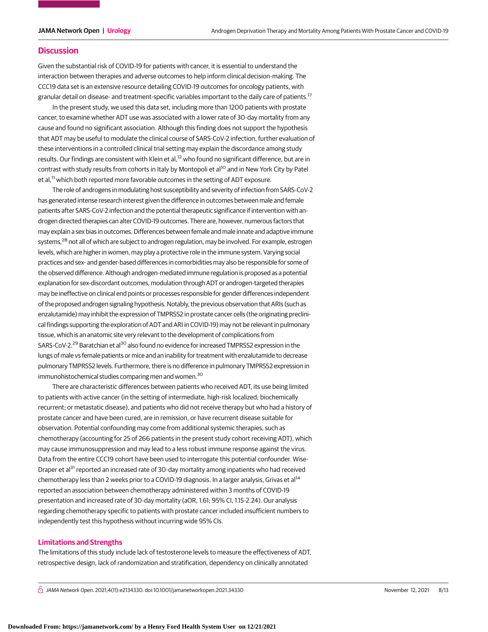#### **Discussion**

Given the substantial risk of COVID-19 for patients with cancer, it is essential to understand the interaction between therapies and adverse outcomes to help inform clinical decision-making. The CCC19 data set is an extensive resource detailing COVID-19 outcomes for oncology patients, with granular detail on disease- and treatment-specific variables important to the daily care of patients.17

In the present study, we used this data set, including more than 1200 patients with prostate cancer, to examine whether ADT use was associated with a lower rate of 30-day mortality from any cause and found no significant association. Although this finding does not support the hypothesis that ADT may be useful to modulate the clinical course of SARS-CoV-2 infection, further evaluation of these interventions in a controlled clinical trial setting may explain the discordance among study results. Our findings are consistent with Klein et al,<sup>12</sup> who found no significant difference, but are in contrast with study results from cohorts in Italy by Montopoli et al<sup>10</sup> and in New York City by Patel et al,<sup>11</sup> which both reported more favorable outcomes in the setting of ADT exposure.

The role of androgens in modulating host susceptibility and severity of infection from SARS-CoV-2 has generated intense research interest given the difference in outcomes between male and female patients after SARS-CoV-2 infection and the potential therapeutic significance if intervention with androgen directed therapies can alter COVID-19 outcomes. There are, however, numerous factors that may explain a sex bias in outcomes. Differences between female and male innate and adaptive immune systems,<sup>28</sup> not all of which are subject to androgen regulation, may be involved. For example, estrogen levels, which are higher in women, may play a protective role in the immune system. Varying social practices and sex- and gender-based differences in comorbidities may also be responsible for some of the observed difference. Although androgen-mediated immune regulation is proposed as a potential explanation for sex-discordant outcomes, modulation through ADT or androgen-targeted therapies may be ineffective on clinical end points or processes responsible for gender differences independent of the proposed androgen signaling hypothesis. Notably, the previous observation that ARIs (such as enzalutamide) may inhibit the expression of TMPRSS2 in prostate cancer cells (the originating preclinical findings supporting the exploration of ADT and ARI in COVID-19) may not be relevant in pulmonary tissue, which is an anatomic site very relevant to the development of complications from SARS-CoV-2.<sup>29</sup> Baratchian et al<sup>30</sup> also found no evidence for increased TMPRSS2 expression in the lungs of male vs female patients or mice and an inability for treatment with enzalutamide to decrease pulmonary TMPRSS2 levels. Furthermore, there is no difference in pulmonary TMPRSS2 expression in immunohistochemical studies comparing men and women.<sup>30</sup>

There are characteristic differences between patients who received ADT, its use being limited to patients with active cancer (in the setting of intermediate, high-risk localized; biochemically recurrent; or metastatic disease), and patients who did not receive therapy but who had a history of prostate cancer and have been cured, are in remission, or have recurrent disease suitable for observation. Potential confounding may come from additional systemic therapies, such as chemotherapy (accounting for 25 of 266 patients in the present study cohort receiving ADT), which may cause immunosuppression and may lead to a less robust immune response against the virus. Data from the entire CCC19 cohort have been used to interrogate this potential confounder. Wise-Draper et al<sup>31</sup> reported an increased rate of 30-day mortality among inpatients who had received chemotherapy less than 2 weeks prior to a COVID-19 diagnosis. In a larger analysis, Grivas et al<sup>14</sup> reported an association between chemotherapy administered within 3 months of COVID-19 presentation and increased rate of 30-day mortality (aOR, 1.61; 95% CI, 1.15-2.24). Our analysis regarding chemotherapy specific to patients with prostate cancer included insufficient numbers to independently test this hypothesis without incurring wide 95% CIs.

#### **Limitations and Strengths**

The limitations of this study include lack of testosterone levels to measure the effectiveness of ADT, retrospective design, lack of randomization and stratification, dependency on clinically annotated

 $\bigcap$  JAMA Network Open. 2021;4(11):e2134330. doi:10.1001/jamanetworkopen.2021.34330 (Reprinted) November 12, 2021 8/13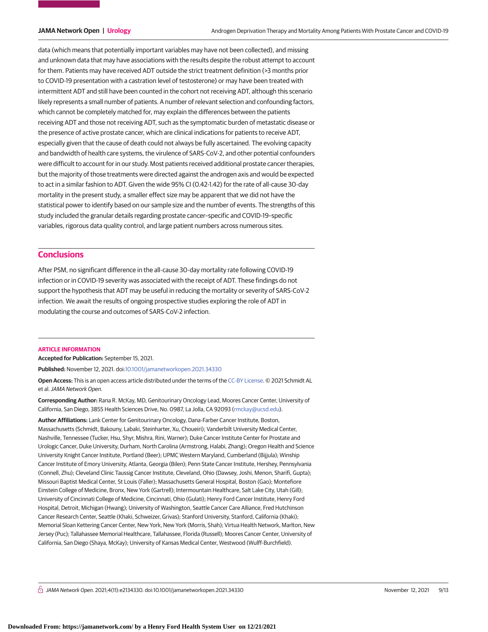data (which means that potentially important variables may have not been collected), and missing and unknown data that may have associations with the results despite the robust attempt to account for them. Patients may have received ADT outside the strict treatment definition (>3 months prior to COVID-19 presentation with a castration level of testosterone) or may have been treated with intermittent ADT and still have been counted in the cohort not receiving ADT, although this scenario likely represents a small number of patients. A number of relevant selection and confounding factors, which cannot be completely matched for, may explain the differences between the patients receiving ADT and those not receiving ADT, such as the symptomatic burden of metastatic disease or the presence of active prostate cancer, which are clinical indications for patients to receive ADT, especially given that the cause of death could not always be fully ascertained. The evolving capacity and bandwidth of health care systems, the virulence of SARS-CoV-2, and other potential confounders were difficult to account for in our study. Most patients received additional prostate cancer therapies, but the majority of those treatments were directed against the androgen axis and would be expected to act in a similar fashion to ADT. Given the wide 95% CI (0.42-1.42) for the rate of all-cause 30-day mortality in the present study, a smaller effect size may be apparent that we did not have the statistical power to identify based on our sample size and the number of events. The strengths of this study included the granular details regarding prostate cancer–specific and COVID-19–specific variables, rigorous data quality control, and large patient numbers across numerous sites.

### **Conclusions**

After PSM, no significant difference in the all-cause 30-day mortality rate following COVID-19 infection or in COVID-19 severity was associated with the receipt of ADT. These findings do not support the hypothesis that ADT may be useful in reducing the mortality or severity of SARS-CoV-2 infection. We await the results of ongoing prospective studies exploring the role of ADT in modulating the course and outcomes of SARS-CoV-2 infection.

#### **ARTICLE INFORMATION**

**Accepted for Publication:** September 15, 2021.

**Published:** November 12, 2021. doi[:10.1001/jamanetworkopen.2021.34330](https://jama.jamanetwork.com/article.aspx?doi=10.1001/jamanetworkopen.2021.34330&utm_campaign=articlePDF%26utm_medium=articlePDFlink%26utm_source=articlePDF%26utm_content=jamanetworkopen.2021.34330)

**Open Access:** This is an open access article distributed under the terms of the [CC-BY License.](https://jamanetwork.com/pages/cc-by-license-permissions/?utm_campaign=articlePDF%26utm_medium=articlePDFlink%26utm_source=articlePDF%26utm_content=jamanetworkopen.2021.34330) © 2021 Schmidt AL et al.JAMA Network Open.

**Corresponding Author:** Rana R. McKay, MD, Genitourinary Oncology Lead, Moores Cancer Center, University of California, San Diego, 3855 Health Sciences Drive, No. 0987, La Jolla, CA 92093 [\(rmckay@ucsd.edu\)](mailto:rmckay@ucsd.edu).

**Author Affiliations:** Lank Center for Genitourinary Oncology, Dana-Farber Cancer Institute, Boston, Massachusetts (Schmidt, Bakouny, Labaki, Steinharter, Xu, Choueiri); Vanderbilt University Medical Center, Nashville, Tennessee (Tucker, Hsu, Shyr, Mishra, Rini, Warner); Duke Cancer Institute Center for Prostate and Urologic Cancer, Duke University, Durham, North Carolina (Armstrong, Halabi, Zhang); Oregon Health and Science University Knight Cancer Institute, Portland (Beer); UPMC Western Maryland, Cumberland (Bijjula); Winship Cancer Institute of Emory University, Atlanta, Georgia (Bilen); Penn State Cancer Institute, Hershey, Pennsylvania (Connell, Zhu); Cleveland Clinic Taussig Cancer Institute, Cleveland, Ohio (Dawsey, Joshi, Menon, Sharifi, Gupta); Missouri Baptist Medical Center, St Louis (Faller); Massachusetts General Hospital, Boston (Gao); Montefiore Einstein College of Medicine, Bronx, New York (Gartrell); Intermountain Healthcare, Salt Lake City, Utah (Gill); University of Cincinnati College of Medicine, Cincinnati, Ohio (Gulati); Henry Ford Cancer Institute, Henry Ford Hospital, Detroit, Michigan (Hwang); University of Washington, Seattle Cancer Care Alliance, Fred Hutchinson Cancer Research Center, Seattle (Khaki, Schweizer, Grivas); Stanford University, Stanford, California (Khaki); Memorial Sloan Kettering Cancer Center, New York, New York (Morris, Shah); Virtua Health Network, Marlton, New Jersey (Puc); Tallahassee Memorial Healthcare, Tallahassee, Florida (Russell); Moores Cancer Center, University of California, San Diego (Shaya, McKay); University of Kansas Medical Center, Westwood (Wulff-Burchfield).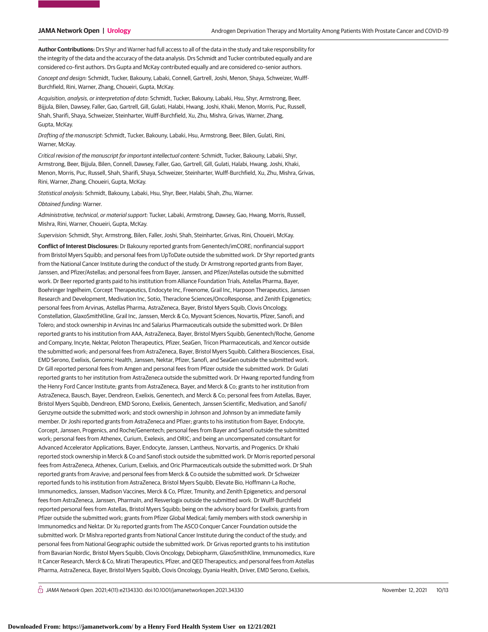**Author Contributions:** Drs Shyr and Warner had full access to all of the data in the study and take responsibility for the integrity of the data and the accuracy of the data analysis. Drs Schmidt and Tucker contributed equally and are considered co–first authors. Drs Gupta and McKay contributed equally and are considered co–senior authors.

Concept and design: Schmidt, Tucker, Bakouny, Labaki, Connell, Gartrell, Joshi, Menon, Shaya, Schweizer, Wulff-Burchfield, Rini, Warner, Zhang, Choueiri, Gupta, McKay.

Acquisition, analysis, or interpretation of data: Schmidt, Tucker, Bakouny, Labaki, Hsu, Shyr, Armstrong, Beer, Bijjula, Bilen, Dawsey, Faller, Gao, Gartrell, Gill, Gulati, Halabi, Hwang, Joshi, Khaki, Menon, Morris, Puc, Russell, Shah, Sharifi, Shaya, Schweizer, Steinharter, Wulff-Burchfield, Xu, Zhu, Mishra, Grivas, Warner, Zhang, Gupta, McKay.

Drafting of the manuscript: Schmidt, Tucker, Bakouny, Labaki, Hsu, Armstrong, Beer, Bilen, Gulati, Rini, Warner, McKay.

Critical revision of the manuscript for important intellectual content: Schmidt, Tucker, Bakouny, Labaki, Shyr, Armstrong, Beer, Bijjula, Bilen, Connell, Dawsey, Faller, Gao, Gartrell, Gill, Gulati, Halabi, Hwang, Joshi, Khaki, Menon, Morris, Puc, Russell, Shah, Sharifi, Shaya, Schweizer, Steinharter, Wulff-Burchfield, Xu, Zhu, Mishra, Grivas, Rini, Warner, Zhang, Choueiri, Gupta, McKay.

Statistical analysis: Schmidt, Bakouny, Labaki, Hsu, Shyr, Beer, Halabi, Shah, Zhu, Warner.

Obtained funding: Warner.

Administrative, technical, or material support: Tucker, Labaki, Armstrong, Dawsey, Gao, Hwang, Morris, Russell, Mishra, Rini, Warner, Choueiri, Gupta, McKay.

Supervision: Schmidt, Shyr, Armstrong, Bilen, Faller, Joshi, Shah, Steinharter, Grivas, Rini, Choueiri, McKay.

**Conflict of Interest Disclosures:** Dr Bakouny reported grants from Genentech/imCORE; nonfinancial support from Bristol Myers Squibb; and personal fees from UpToDate outside the submitted work. Dr Shyr reported grants from the National Cancer Institute during the conduct of the study. Dr Armstrong reported grants from Bayer, Janssen, and Pfizer/Astellas; and personal fees from Bayer, Janssen, and Pfizer/Astellas outside the submitted work. Dr Beer reported grants paid to his institution from Alliance Foundation Trials, Astellas Pharma, Bayer, Boehringer Ingelheim, Corcept Therapeutics, Endocyte Inc, Freenome, Grail Inc, Harpoon Therapeutics, Janssen Research and Development, Medivation Inc, Sotio, Theraclone Sciences/OncoResponse, and Zenith Epigenetics; personal fees from Arvinas, Astellas Pharma, AstraZeneca, Bayer, Bristol Myers Squib, Clovis Oncology, Constellation, GlaxoSmithKline, Grail Inc, Janssen, Merck & Co, Myovant Sciences, Novartis, Pfizer, Sanofi, and Tolero; and stock ownership in Arvinas Inc and Salarius Pharmaceuticals outside the submitted work. Dr Bilen reported grants to his institution from AAA, AstraZeneca, Bayer, Bristol Myers Squibb, Genentech/Roche, Genome and Company, Incyte, Nektar, Peloton Therapeutics, Pfizer, SeaGen, Tricon Pharmaceuticals, and Xencor outside the submitted work; and personal fees from AstraZeneca, Bayer, Bristol Myers Squibb, Calithera Biosciences, Eisai, EMD Serono, Exelixis, Genomic Health, Janssen, Nektar, Pfizer, Sanofi, and SeaGen outside the submitted work. Dr Gill reported personal fees from Amgen and personal fees from Pfizer outside the submitted work. Dr Gulati reported grants to her institution from AstraZeneca outside the submitted work. Dr Hwang reported funding from the Henry Ford Cancer Institute; grants from AstraZeneca, Bayer, and Merck & Co; grants to her institution from AstraZeneca, Bausch, Bayer, Dendreon, Exelixis, Genentech, and Merck & Co; personal fees from Astellas, Bayer, Bristol Myers Squibb, Dendreon, EMD Sorono, Exelixis, Genentech, Janssen Scientific, Medivation, and Sanofi/ Genzyme outside the submitted work; and stock ownership in Johnson and Johnson by an immediate family member. Dr Joshi reported grants from AstraZeneca and Pfizer; grants to his institution from Bayer, Endocyte, Corcept, Janssen, Progenics, and Roche/Genentech; personal fees from Bayer and Sanofi outside the submitted work; personal fees from Athenex, Curium, Exelexis, and ORIC; and being an uncompensated consultant for Advanced Accelerator Applications, Bayer, Endocyte, Janssen, Lantheus, Norvartis, and Progenics. Dr Khaki reported stock ownership in Merck & Co and Sanofi stock outside the submitted work. Dr Morris reported personal fees from AstraZeneca, Athenex, Curium, Exelixis, and Oric Pharmaceuticals outside the submitted work. Dr Shah reported grants from Aravive; and personal fees from Merck & Co outside the submitted work. Dr Schweizer reported funds to his institution from AstraZeneca, Bristol Myers Squibb, Elevate Bio, Hoffmann-La Roche, Immunomedics, Janssen, Madison Vaccines, Merck & Co, Pfizer, Tmunity, and Zenith Epigenetics; and personal fees from AstraZeneca, Janssen, PharmaIn, and Resverlogix outside the submitted work. Dr Wulff-Burchfield reported personal fees from Astellas, Bristol Myers Squibb; being on the advisory board for Exelixis; grants from Pfizer outside the submitted work; grants from Pfizer Global Medical; family members with stock ownership in Immunomedics and Nektar. Dr Xu reported grants from The ASCO Conquer Cancer Foundation outside the submitted work. Dr Mishra reported grants from National Cancer Institute during the conduct of the study; and personal fees from National Geographic outside the submitted work. Dr Grivas reported grants to his institution from Bavarian Nordic, Bristol Myers Squibb, Clovis Oncology, Debiopharm, GlaxoSmithKline, Immunomedics, Kure It Cancer Research, Merck & Co, Mirati Therapeutics, Pfizer, and QED Therapeutics; and personal fees from Astellas Pharma, AstraZeneca, Bayer, Bristol Myers Squibb, Clovis Oncology, Dyania Health, Driver, EMD Serono, Exelixis,

 $\bigcap$  JAMA Network Open. 2021;4(11):e2134330. doi:10.1001/jamanetworkopen.2021.34330 November 12, 2021 10/13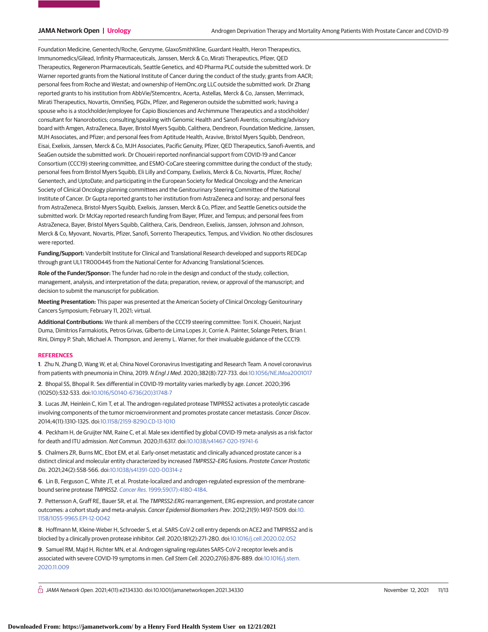Foundation Medicine, Genentech/Roche, Genzyme, GlaxoSmithKline, Guardant Health, Heron Therapeutics, Immunomedics/Gilead, Infinity Pharmaceuticals, Janssen, Merck & Co, Mirati Therapeutics, Pfizer, QED Therapeutics, Regeneron Pharmaceuticals, Seattle Genetics, and 4D Pharma PLC outside the submitted work. Dr Warner reported grants from the National Institute of Cancer during the conduct of the study; grants from AACR; personal fees from Roche and Westat; and ownership of HemOnc.org LLC outside the submitted work. Dr Zhang reported grants to his institution from AbbVie/Stemcentrx, Acerta, Astellas, Merck & Co, Janssen, Merrimack, Mirati Therapeutics, Novartis, OmniSeq, PGDx, Pfizer, and Regeneron outside the submitted work; having a spouse who is a stockholder/employee for Capio Biosciences and Archimmune Therapeutics and a stockholder/ consultant for Nanorobotics; consulting/speaking with Genomic Health and Sanofi Aventis; consulting/advisory board with Amgen, AstraZeneca, Bayer, Bristol Myers Squibb, Calithera, Dendreon, Foundation Medicine, Janssen, MJH Associates, and Pfizer; and personal fees from Aptitude Health, Aravive, Bristol Myers Squibb, Dendreon, Eisai, Exelixis, Janssen, Merck & Co, MJH Associates, Pacific Genuity, Pfizer, QED Therapeutics, Sanofi-Aventis, and SeaGen outside the submitted work. Dr Choueiri reported nonfinancial support from COVID-19 and Cancer Consortium (CCC19) steering committee, and ESMO-CoCare steering committee during the conduct of the study; personal fees from Bristol Myers Squibb, Eli Lilly and Company, Exelixis, Merck & Co, Novartis, Pfizer, Roche/ Genentech, and UptoDate; and participating in the European Society for Medical Oncology and the American Society of Clinical Oncology planning committees and the Genitourinary Steering Committee of the National Institute of Cancer. Dr Gupta reported grants to her institution from AstraZeneca and Isoray; and personal fees from AstraZeneca, Bristol-Myers Squibb, Exelixis, Janssen, Merck & Co, Pfizer, and Seattle Genetics outside the submitted work. Dr McKay reported research funding from Bayer, Pfizer, and Tempus; and personal fees from AstraZeneca, Bayer, Bristol Myers Squibb, Calithera, Caris, Dendreon, Exelixis, Janssen, Johnson and Johnson, Merck & Co, Myovant, Novartis, Pfizer, Sanofi, Sorrento Therapeutics, Tempus, and Vividion. No other disclosures were reported.

**Funding/Support:** Vanderbilt Institute for Clinical and Translational Research developed and supports REDCap through grant UL1 TR000445 from the National Center for Advancing Translational Sciences.

**Role of the Funder/Sponsor:** The funder had no role in the design and conduct of the study; collection, management, analysis, and interpretation of the data; preparation, review, or approval of the manuscript; and decision to submit the manuscript for publication.

**Meeting Presentation:** This paper was presented at the American Society of Clinical Oncology Genitourinary Cancers Symposium; February 11, 2021; virtual.

**Additional Contributions:** We thank all members of the CCC19 steering committee: Toni K. Choueiri, Narjust Duma, Dimitrios Farmakiotis, Petros Grivas, Gilberto de Lima Lopes Jr, Corrie A. Painter, Solange Peters, Brian I. Rini, Dimpy P. Shah, Michael A. Thompson, and Jeremy L. Warner, for their invaluable guidance of the CCC19.

#### **REFERENCES**

**1**. Zhu N, Zhang D, Wang W, et al; China Novel Coronavirus Investigating and Research Team. A novel coronavirus from patients with pneumonia in China, 2019. N Engl J Med. 2020;382(8):727-733. doi[:10.1056/NEJMoa2001017](https://dx.doi.org/10.1056/NEJMoa2001017)

**2**. Bhopal SS, Bhopal R. Sex differential in COVID-19 mortality varies markedly by age. Lancet. 2020;396 (10250):532-533. doi[:10.1016/S0140-6736\(20\)31748-7](https://dx.doi.org/10.1016/S0140-6736(20)31748-7)

**3**. Lucas JM, Heinlein C, Kim T, et al. The androgen-regulated protease TMPRSS2 activates a proteolytic cascade involving components of the tumor microenvironment and promotes prostate cancer metastasis. Cancer Discov. 2014;4(11):1310-1325. doi[:10.1158/2159-8290.CD-13-1010](https://dx.doi.org/10.1158/2159-8290.CD-13-1010)

**4**. Peckham H, de Gruijter NM, Raine C, et al. Male sex identified by global COVID-19 meta-analysis as a risk factor for death and ITU admission. Nat Commun. 2020;11:6317. doi[:10.1038/s41467-020-19741-6](https://dx.doi.org/10.1038/s41467-020-19741-6)

**5**. Chalmers ZR, Burns MC, Ebot EM, et al. Early-onset metastatic and clinically advanced prostate cancer is a distinct clinical and molecular entity characterized by increased TMPRSS2-ERG fusions. Prostate Cancer Prostatic Dis. 2021;24(2):558-566. doi[:10.1038/s41391-020-00314-z](https://dx.doi.org/10.1038/s41391-020-00314-z)

**6**. Lin B, Ferguson C, White JT, et al. Prostate-localized and androgen-regulated expression of the membranebound serine protease TMPRSS2. Cancer Res[. 1999;59\(17\):4180-4184.](https://www.ncbi.nlm.nih.gov/pubmed/10485450)

**7**. Pettersson A, Graff RE, Bauer SR, et al. The TMPRSS2:ERG rearrangement, ERG expression, and prostate cancer outcomes: a cohort study and meta-analysis. Cancer Epidemiol Biomarkers Prev. 2012;21(9):1497-1509. doi[:10.](https://dx.doi.org/10.1158/1055-9965.EPI-12-0042) [1158/1055-9965.EPI-12-0042](https://dx.doi.org/10.1158/1055-9965.EPI-12-0042)

**8**. Hoffmann M, Kleine-Weber H, Schroeder S, et al. SARS-CoV-2 cell entry depends on ACE2 and TMPRSS2 and is blocked by a clinically proven protease inhibitor. Cell. 2020;181(2):271-280. doi[:10.1016/j.cell.2020.02.052](https://dx.doi.org/10.1016/j.cell.2020.02.052)

**9**. Samuel RM, Majd H, Richter MN, et al. Androgen signaling regulates SARS-CoV-2 receptor levels and is associated with severe COVID-19 symptoms in men. Cell Stem Cell. 2020;27(6):876-889. doi[:10.1016/j.stem.](https://dx.doi.org/10.1016/j.stem.2020.11.009) [2020.11.009](https://dx.doi.org/10.1016/j.stem.2020.11.009)

 $\bigcap$  JAMA Network Open. 2021;4(11):e2134330. doi:10.1001/jamanetworkopen.2021.34330 (Reprinted) November 12, 2021 11/13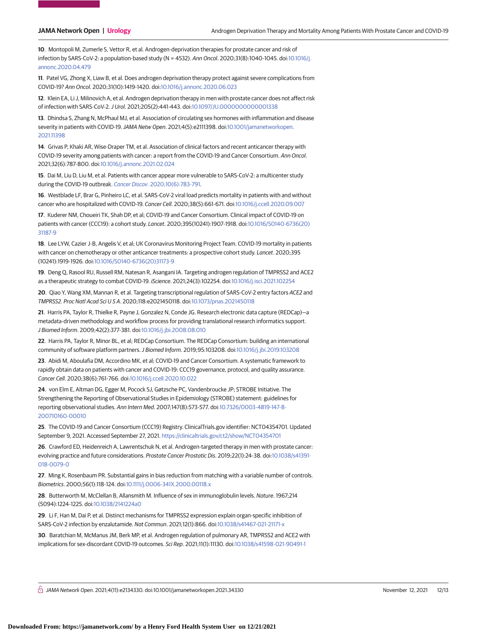**10**. Montopoli M, Zumerle S, Vettor R, et al. Androgen-deprivation therapies for prostate cancer and risk of infection by SARS-CoV-2: a population-based study (N = 4532). Ann Oncol. 2020;31(8):1040-1045. doi[:10.1016/j.](https://dx.doi.org/10.1016/j.annonc.2020.04.479) [annonc.2020.04.479](https://dx.doi.org/10.1016/j.annonc.2020.04.479)

**11**. Patel VG, Zhong X, Liaw B, et al. Does androgen deprivation therapy protect against severe complications from COVID-19? Ann Oncol. 2020;31(10):1419-1420. doi[:10.1016/j.annonc.2020.06.023](https://dx.doi.org/10.1016/j.annonc.2020.06.023)

**12**. Klein EA, Li J, Milinovich A, et al. Androgen deprivation therapy in men with prostate cancer does not affect risk of infection with SARS-CoV-2.J Urol. 2021;205(2):441-443. doi[:10.1097/JU.0000000000001338](https://dx.doi.org/10.1097/JU.0000000000001338)

**13**. Dhindsa S, Zhang N, McPhaul MJ, et al. Association of circulating sex hormones with inflammation and disease severity in patients with COVID-19. JAMA Netw Open. 2021;4(5):e2111398. doi[:10.1001/jamanetworkopen.](https://jama.jamanetwork.com/article.aspx?doi=10.1001/jamanetworkopen.2021.11398&utm_campaign=articlePDF%26utm_medium=articlePDFlink%26utm_source=articlePDF%26utm_content=jamanetworkopen.2021.34330) [2021.11398](https://jama.jamanetwork.com/article.aspx?doi=10.1001/jamanetworkopen.2021.11398&utm_campaign=articlePDF%26utm_medium=articlePDFlink%26utm_source=articlePDF%26utm_content=jamanetworkopen.2021.34330)

**14**. Grivas P, Khaki AR, Wise-Draper TM, et al. Association of clinical factors and recent anticancer therapy with COVID-19 severity among patients with cancer: a report from the COVID-19 and Cancer Consortium. Ann Oncol. 2021;32(6):787-800. doi[:10.1016/j.annonc.2021.02.024](https://dx.doi.org/10.1016/j.annonc.2021.02.024)

**15**. Dai M, Liu D, Liu M, et al. Patients with cancer appear more vulnerable to SARS-CoV-2: a multicenter study during the COVID-19 outbreak. Cancer Discov[. 2020;10\(6\):783-791.](https://www.ncbi.nlm.nih.gov/pubmed/32345594)

**16**. Westblade LF, Brar G, Pinheiro LC, et al. SARS-CoV-2 viral load predicts mortality in patients with and without cancer who are hospitalized with COVID-19. Cancer Cell. 2020;38(5):661-671. doi[:10.1016/j.ccell.2020.09.007](https://dx.doi.org/10.1016/j.ccell.2020.09.007)

**17**. Kuderer NM, Choueiri TK, Shah DP, et al; COVID-19 and Cancer Consortium. Clinical impact of COVID-19 on patients with cancer (CCC19): a cohort study. Lancet. 2020;395(10241):1907-1918. doi[:10.1016/S0140-6736\(20\)](https://dx.doi.org/10.1016/S0140-6736(20)31187-9) [31187-9](https://dx.doi.org/10.1016/S0140-6736(20)31187-9)

**18**. Lee LYW, Cazier J-B, Angelis V, et al; UK Coronavirus Monitoring Project Team. COVID-19 mortality in patients with cancer on chemotherapy or other anticancer treatments: a prospective cohort study. Lancet. 2020;395 (10241):1919-1926. doi[:10.1016/S0140-6736\(20\)31173-9](https://dx.doi.org/10.1016/S0140-6736(20)31173-9)

**19**. Deng Q, Rasool RU, Russell RM, Natesan R, Asangani IA. Targeting androgen regulation of TMPRSS2 and ACE2 as a therapeutic strategy to combat COVID-19. iScience. 2021;24(3):102254. doi[:10.1016/j.isci.2021.102254](https://dx.doi.org/10.1016/j.isci.2021.102254)

**20**. Qiao Y, Wang XM, Mannan R, et al. Targeting transcriptional regulation of SARS-CoV-2 entry factors ACE2 and TMPRSS2. Proc Natl Acad SciUSA. 2020;118:e2021450118. doi[:10.1073/pnas.2021450118](https://dx.doi.org/10.1073/pnas.2021450118)

**21**. Harris PA, Taylor R, Thielke R, Payne J, Gonzalez N, Conde JG. Research electronic data capture (REDCap)—a metadata-driven methodology and workflow process for providing translational research informatics support. J Biomed Inform. 2009;42(2):377-381. doi[:10.1016/j.jbi.2008.08.010](https://dx.doi.org/10.1016/j.jbi.2008.08.010)

**22**. Harris PA, Taylor R, Minor BL, et al; REDCap Consortium. The REDCap Consortium: building an international community of software platform partners.J Biomed Inform. 2019;95:103208. doi[:10.1016/j.jbi.2019.103208](https://dx.doi.org/10.1016/j.jbi.2019.103208)

**23**. Abidi M, Aboulafia DM, Accordino MK, et al; COVID-19 and Cancer Consortium. A systematic framework to rapidly obtain data on patients with cancer and COVID-19: CCC19 governance, protocol, and quality assurance. Cancer Cell. 2020;38(6):761-766. doi[:10.1016/j.ccell.2020.10.022](https://dx.doi.org/10.1016/j.ccell.2020.10.022)

**24**. von Elm E, Altman DG, Egger M, Pocock SJ, Gøtzsche PC, Vandenbroucke JP; STROBE Initiative. The Strengthening the Reporting of Observational Studies in Epidemiology (STROBE) statement: guidelines for reporting observational studies. Ann Intern Med. 2007;147(8):573-577. doi[:10.7326/0003-4819-147-8-](https://dx.doi.org/10.7326/0003-4819-147-8-200710160-00010) [200710160-00010](https://dx.doi.org/10.7326/0003-4819-147-8-200710160-00010)

**25**. The COVID-19 and Cancer Consortium (CCC19) Registry. ClinicalTrials.gov identifier: NCT04354701. Updated September 9, 2021. Accessed September 27, 2021. <https://clinicaltrials.gov/ct2/show/NCT04354701>

**26**. Crawford ED, Heidenreich A, Lawrentschuk N, et al. Androgen-targeted therapy in men with prostate cancer: evolving practice and future considerations. Prostate Cancer Prostatic Dis. 2019;22(1):24-38. doi[:10.1038/s41391-](https://dx.doi.org/10.1038/s41391-018-0079-0) [018-0079-0](https://dx.doi.org/10.1038/s41391-018-0079-0)

**27**. Ming K, Rosenbaum PR. Substantial gains in bias reduction from matching with a variable number of controls. Biometrics. 2000;56(1):118-124. doi[:10.1111/j.0006-341X.2000.00118.x](https://dx.doi.org/10.1111/j.0006-341X.2000.00118.x)

**28**. Butterworth M, McClellan B, Allansmith M. Influence of sex in immunoglobulin levels. Nature. 1967;214 (5094):1224-1225. doi[:10.1038/2141224a0](https://dx.doi.org/10.1038/2141224a0)

**29**. Li F, Han M, Dai P, et al. Distinct mechanisms for TMPRSS2 expression explain organ-specific inhibition of SARS-CoV-2 infection by enzalutamide. Nat Commun. 2021;12(1):866. doi[:10.1038/s41467-021-21171-x](https://dx.doi.org/10.1038/s41467-021-21171-x)

**30**. Baratchian M, McManus JM, Berk MP, et al. Androgen regulation of pulmonary AR, TMPRSS2 and ACE2 with implications for sex-discordant COVID-19 outcomes. Sci Rep. 2021;11(1):11130. doi[:10.1038/s41598-021-90491-1](https://dx.doi.org/10.1038/s41598-021-90491-1)

 $\bigcap$  JAMA Network Open. 2021;4(11):e2134330. doi:10.1001/jamanetworkopen.2021.34330 November 12, 2021 12/13